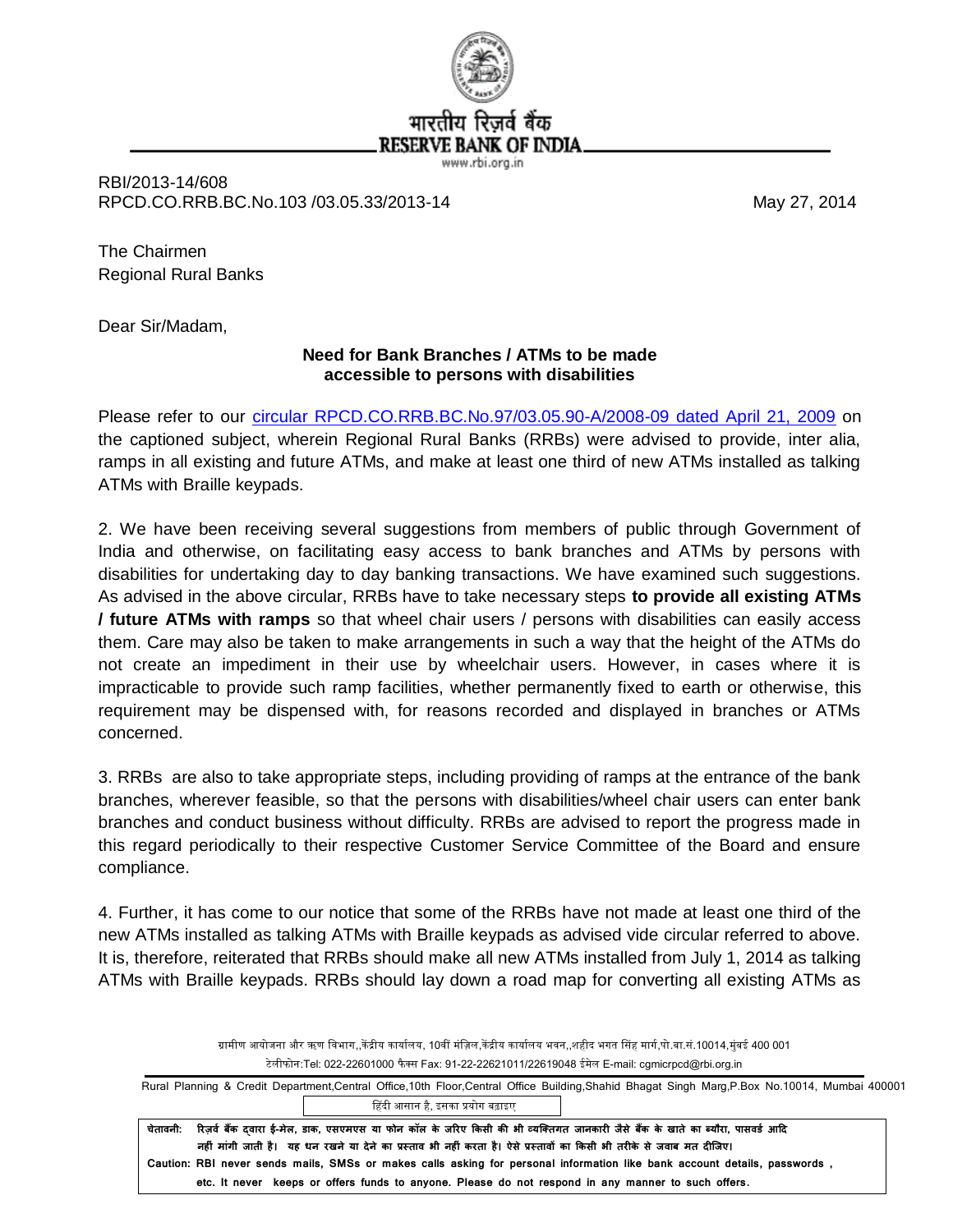

RBI/2013-14/608 RPCD.CO.RRB.BC.No.103 /03.05.33/2013-14 May 27, 2014

The Chairmen Regional Rural Banks

Dear Sir/Madam,

## **Need for Bank Branches / ATMs to be made accessible to persons with disabilities**

Please refer to our circular [RPCD.CO.RRB.BC.No.97/03.05.90-A/2008-09 dated April 21, 2009](http://rbi.org.in/scripts/NotificationUser.aspx?Id=4940&Mode=0) on the captioned subject, wherein Regional Rural Banks (RRBs) were advised to provide, inter alia, ramps in all existing and future ATMs, and make at least one third of new ATMs installed as talking ATMs with Braille keypads.

2. We have been receiving several suggestions from members of public through Government of India and otherwise, on facilitating easy access to bank branches and ATMs by persons with disabilities for undertaking day to day banking transactions. We have examined such suggestions. As advised in the above circular, RRBs have to take necessary steps **to provide all existing ATMs / future ATMs with ramps** so that wheel chair users / persons with disabilities can easily access them. Care may also be taken to make arrangements in such a way that the height of the ATMs do not create an impediment in their use by wheelchair users. However, in cases where it is impracticable to provide such ramp facilities, whether permanently fixed to earth or otherwise, this requirement may be dispensed with, for reasons recorded and displayed in branches or ATMs concerned.

3. RRBs are also to take appropriate steps, including providing of ramps at the entrance of the bank branches, wherever feasible, so that the persons with disabilities/wheel chair users can enter bank branches and conduct business without difficulty. RRBs are advised to report the progress made in this regard periodically to their respective Customer Service Committee of the Board and ensure compliance.

4. Further, it has come to our notice that some of the RRBs have not made at least one third of the new ATMs installed as talking ATMs with Braille keypads as advised vide circular referred to above. It is, therefore, reiterated that RRBs should make all new ATMs installed from July 1, 2014 as talking ATMs with Braille keypads. RRBs should lay down a road map for converting all existing ATMs as

> ग्रामीण आयोजना और ऋण विभाग,,केंद्रीय कार्यालय, 10वीं मंज़िल,केंद्रीय कार्यालय भवन,,शहीद भगत सिंह मार्ग,पो.बा.सं.10014,मुंबई 400 001 टेलीफोन:Tel: 022-22601000 फैक्स Fax: 91-22-22621011/22619048 ईमेल E-mail: cgmicrpcd@rbi.org.in

 Rural Planning & Credit Department,Central Office,10th Floor,Central Office Building,Shahid Bhagat Singh Marg,P.Box No.10014, Mumbai 400001 हिंदी आसान है, इसका प्रयोग बढ़ाइए

चेतावनी: रिज़र्व बैंक दवारा ई-मेल, डाक, एसएमएस या फोन कॉल के जरिए किसी की भी व्यक्तिगत जानकारी जैसे बैंक के खाते का ब्यौरा, पासवर्ड आदि  **नह ीं माींती जाती हस। यह धन िाने या िेने का प्रस ताव भी नह ीं किता हस। ेसे प्रस तावक का ककसी भी ति के से जवाब मत ि क्तजए। Caution: RBI never sends mails, SMSs or makes calls asking for personal information like bank account details, passwords , etc. It never keeps or offers funds to anyone. Please do not respond in any manner to such offers.**